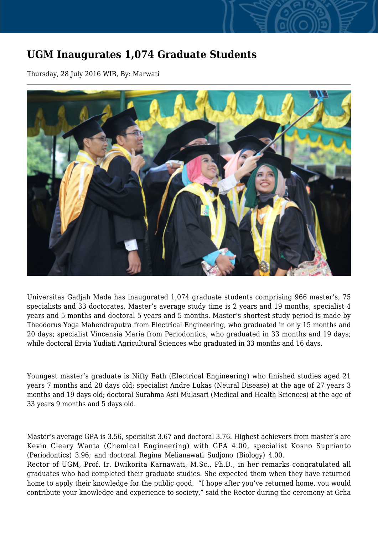## **UGM Inaugurates 1,074 Graduate Students**

Thursday, 28 July 2016 WIB, By: Marwati



Universitas Gadjah Mada has inaugurated 1,074 graduate students comprising 966 master's, 75 specialists and 33 doctorates. Master's average study time is 2 years and 19 months, specialist 4 years and 5 months and doctoral 5 years and 5 months. Master's shortest study period is made by Theodorus Yoga Mahendraputra from Electrical Engineering, who graduated in only 15 months and 20 days; specialist Vincensia Maria from Periodontics, who graduated in 33 months and 19 days; while doctoral Ervia Yudiati Agricultural Sciences who graduated in 33 months and 16 days.

Youngest master's graduate is Nifty Fath (Electrical Engineering) who finished studies aged 21 years 7 months and 28 days old; specialist Andre Lukas (Neural Disease) at the age of 27 years 3 months and 19 days old; doctoral Surahma Asti Mulasari (Medical and Health Sciences) at the age of 33 years 9 months and 5 days old.

Master's average GPA is 3.56, specialist 3.67 and doctoral 3.76. Highest achievers from master's are Kevin Cleary Wanta (Chemical Engineering) with GPA 4.00, specialist Kosno Suprianto (Periodontics) 3.96; and doctoral Regina Melianawati Sudjono (Biology) 4.00. Rector of UGM, Prof. Ir. Dwikorita Karnawati, M.Sc., Ph.D., in her remarks congratulated all graduates who had completed their graduate studies. She expected them when they have returned home to apply their knowledge for the public good. "I hope after you've returned home, you would contribute your knowledge and experience to society," said the Rector during the ceremony at Grha